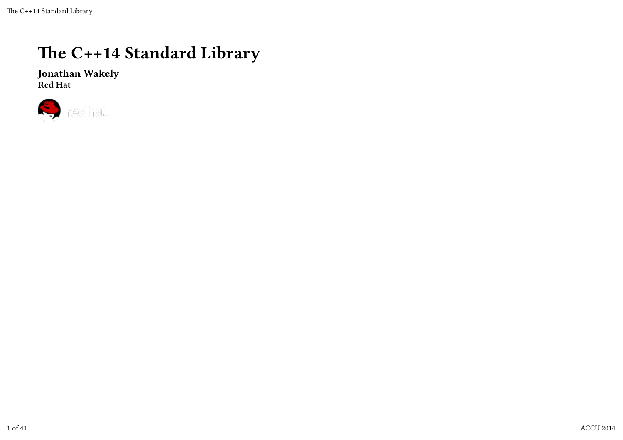### The C++14 Standard Library

Jonathan Wakely Red Hat

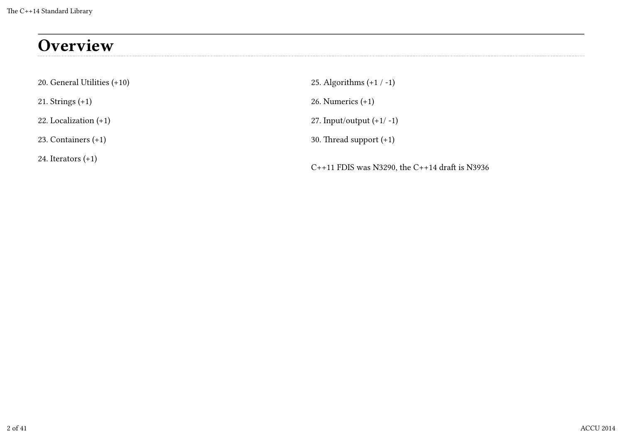## **Overview**

| 20. General Utilities (+10) | 25. Algorithms $(+1 / -1)$                         |
|-----------------------------|----------------------------------------------------|
| 21. Strings $(+1)$          | 26. Numerics $(+1)$                                |
| 22. Localization $(+1)$     | 27. Input/output $(+1/-1)$                         |
| 23. Containers $(+1)$       | 30. Thread support $(+1)$                          |
| 24. Iterators $(+1)$        | $C++11$ FDIS was N3290, the $C++14$ draft is N3936 |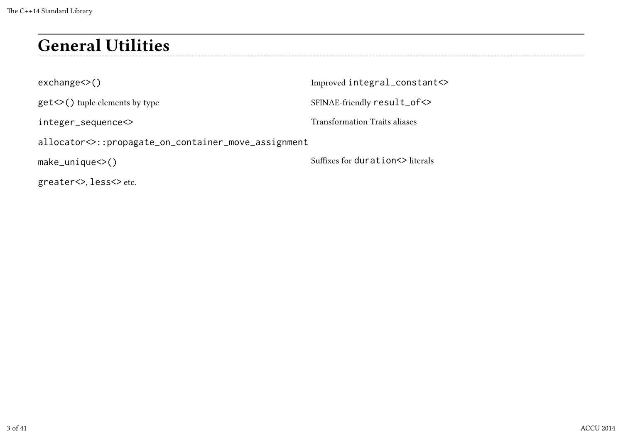## General Utilities

exchange<>() get<>() tuple elements by type integer\_sequence<> allocator<>::propagate\_on\_container\_move\_assignment make\_unique<>() Improved integral\_constant<> SFINAE-friendly result\_of<> Transformation Traits aliases Suffixes for duration <> literals

greater<>, less<> etc.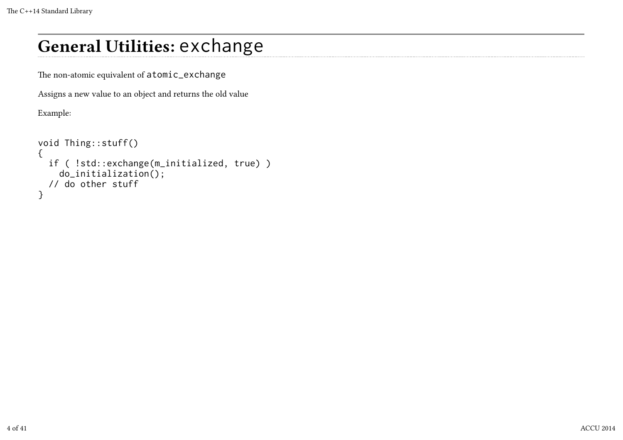## General Utilities: exchange

The non-atomic equivalent of atomic\_exchange

Assigns a new value to an object and returns the old value

Example:

```
void Thing::stuff()
{
   if ( !std::exchange(m_initialized, true) )
     do_initialization();
   // do other stuff
}
```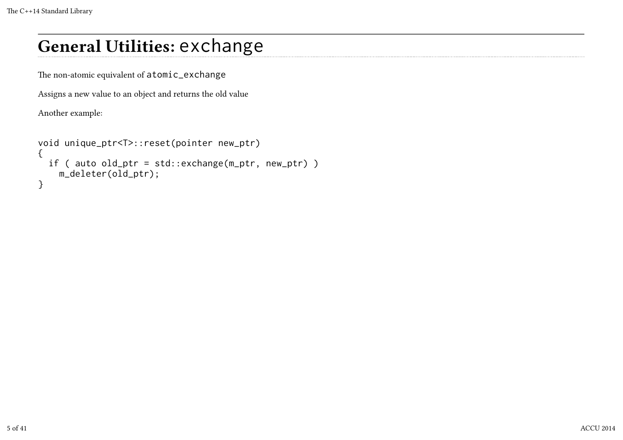## General Utilities: exchange

The non-atomic equivalent of atomic\_exchange

Assigns a new value to an object and returns the old value

Another example:

```
void unique_ptr<T>::reset(pointer new_ptr)
{
   if ( auto old_ptr = std::exchange(m_ptr, new_ptr) )
     m_deleter(old_ptr);
}
```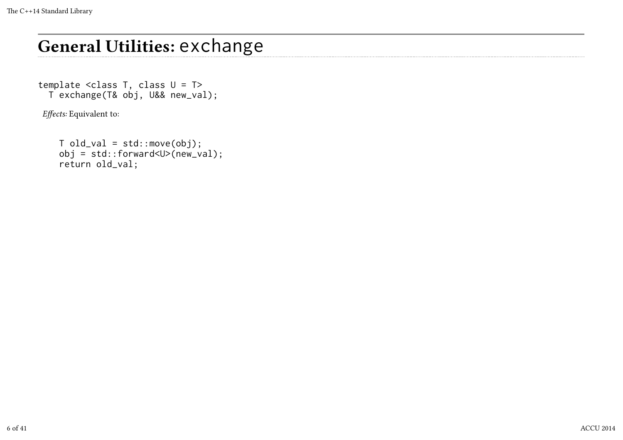## General Utilities: exchange

template <class T, class U = T> T exchange(T& obj, U&& new\_val);

Effects: Equivalent to:

 $T old_val = std::move(obj);$  obj = std::forward<U>(new\_val); return old\_val;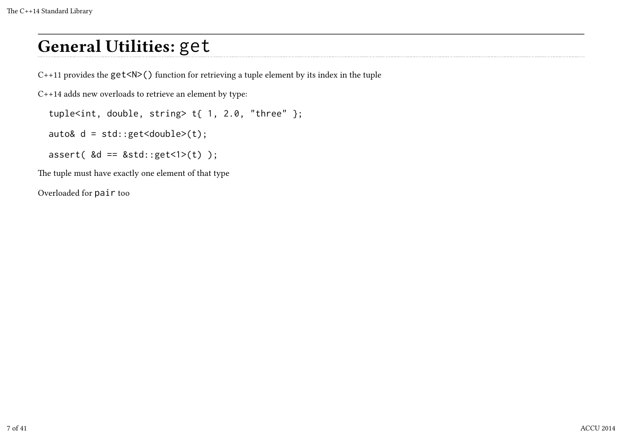## General Utilities: get

 $C++11$  provides the  $get< N>($ ) function for retrieving a tuple element by its index in the tuple

C++14 adds new overloads to retrieve an element by type:

```
tuple<int, double, string> t{1, 2.0, "three" };
```
auto&  $d = std::get < double>(t);$ 

assert(  $\&d == \&std::get<1>(t) )$ ;

The tuple must have exactly one element of that type

Overloaded for pair too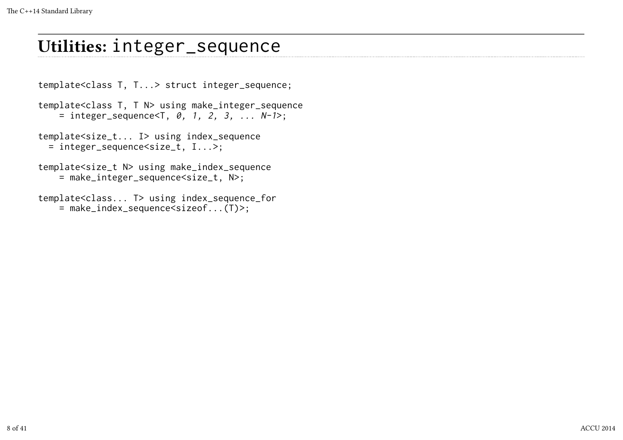### Utilities: integer\_sequence

template<class T, T...> struct integer\_sequence;

template<class T, T N> using make\_integer\_sequence = integer\_sequence<T,  $\theta$ , 1, 2, 3, ...  $N-1$ ;

template<size\_t... I> using index\_sequence = integer\_sequence<size\_t, I...>;

template<size t N> using make index sequence = make\_integer\_sequence<size\_t, N>;

template<class... T> using index\_sequence\_for = make\_index\_sequence<sizeof...(T)>;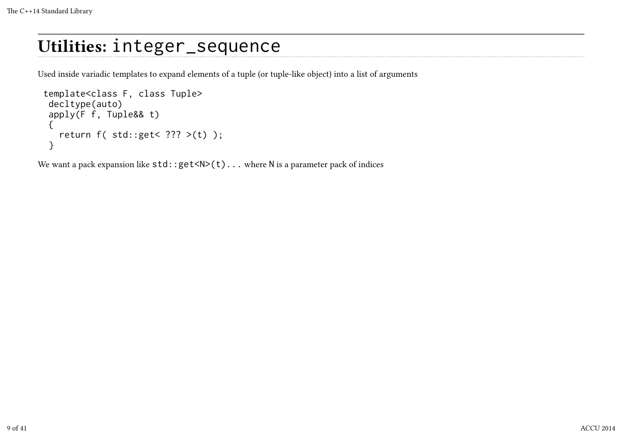### Utilities: integer\_sequence

Used inside variadic templates to expand elements of a tuple (or tuple-like object) into a list of arguments

```
 template<class F, class Tuple>
  decltype(auto)
  apply(F f, Tuple&& t)
  {
    return f( std::get< ??? >(t) );
  }
```
We want a pack expansion like  $std::get(t)...$  where N is a parameter pack of indices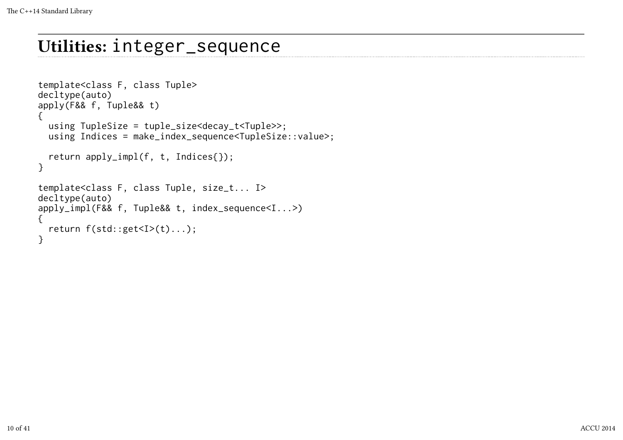### Utilities: integer\_sequence

```
template<class F, class Tuple>
decltype(auto)
apply(F&& f, Tuple&& t)
{
   using TupleSize = tuple_size<decay_t<Tuple>>;
   using Indices = make_index_sequence<TupleSize::value>;
   return apply_impl(f, t, Indices{});
}
template<class F, class Tuple, size_t... I>
decltype(auto)
apply_impl(F&& f, Tuple&& t, index_sequence<I...>)
{
   return f(std::get<I>(t)...);
}
```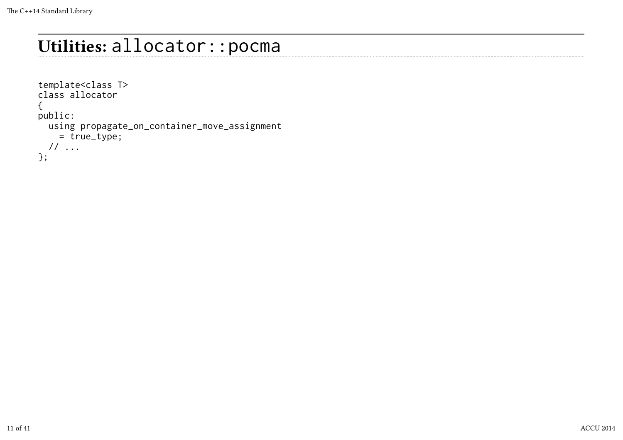## Utilities: allocator::pocma

```
template<class T>
class allocator
{
public:
   using propagate_on_container_move_assignment
     = true_type;
  // ...
};
```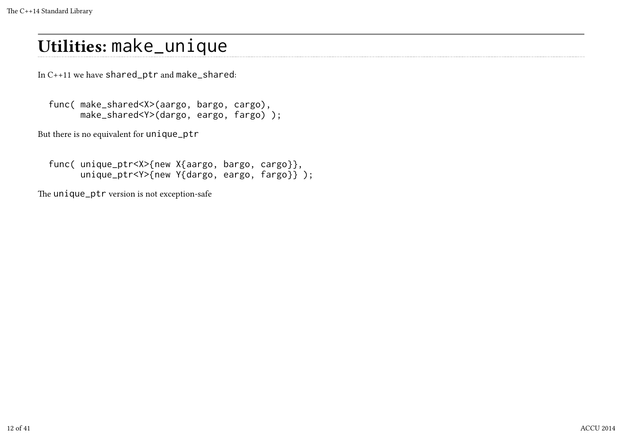## Utilities: make\_unique

In C++11 we have shared\_ptr and make\_shared:

```
 func( make_shared<X>(aargo, bargo, cargo),
       make_shared<Y>(dargo, eargo, fargo) );
```
But there is no equivalent for unique\_ptr

```
 func( unique_ptr<X>{new X{aargo, bargo, cargo}},
       unique_ptr<Y>{new Y{dargo, eargo, fargo}} );
```
The unique\_ptr version is not exception-safe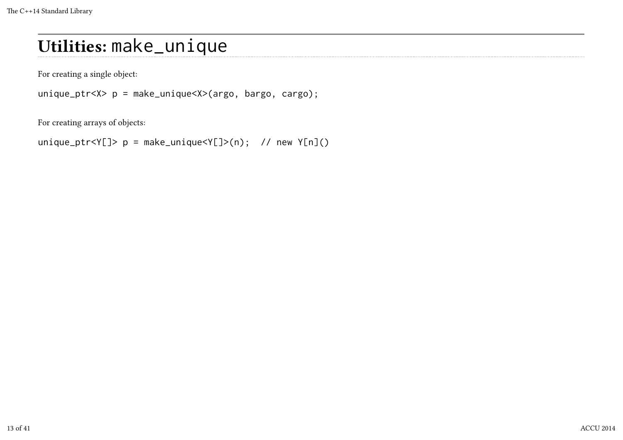## Utilities: make\_unique

For creating a single object:

unique\_ptr<X> p = make\_unique<X>(argo, bargo, cargo);

For creating arrays of objects:

unique\_ptr<Y[]>  $p = make\_unique < Y[ ]>(n);$  // new  $Y[n]( )$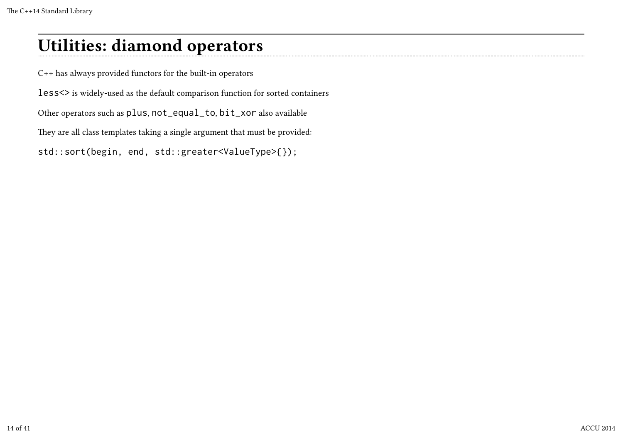### Utilities: diamond operators

C++ has always provided functors for the built-in operators

less<> is widely-used as the default comparison function for sorted containers

Other operators such as plus, not\_equal\_to, bit\_xor also available

They are all class templates taking a single argument that must be provided:

std::sort(begin, end, std::greater<ValueType>{});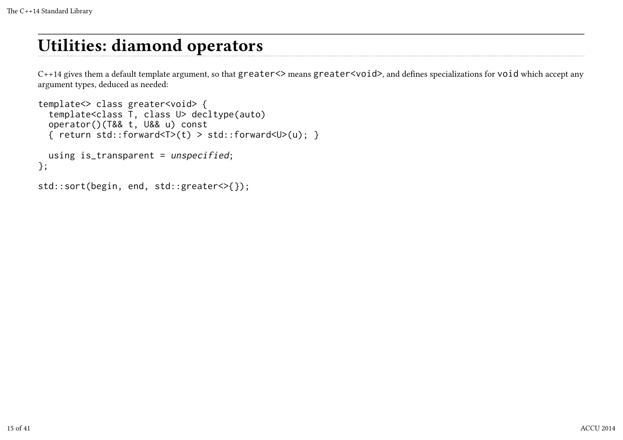### Utilities: diamond operators

C++14 gives them a default template argument, so that greater<> means greater<void>, and defines specializations for void which accept any argument types, deduced as needed:

```
template<> class greater<void> {
   template<class T, class U> decltype(auto)
   operator()(T&& t, U&& u) const
  { return std::forward<T>(t) > std::forward<U>(u); }
  using is_transparent = unspecified;
};
std::sort(begin, end, std::greater<>{});
```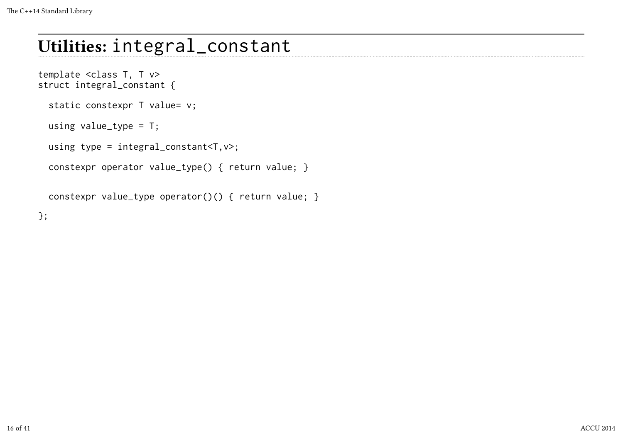# Utilities: integral\_constant

```
template <class T, T v>
struct integral_constant {
  static constexpr T value= v;
  using value_type = T;
  using type = integral_constant<T,v>;
   constexpr operator value_type() { return value; }
```
constexpr value\_type operator()() { return value; }

};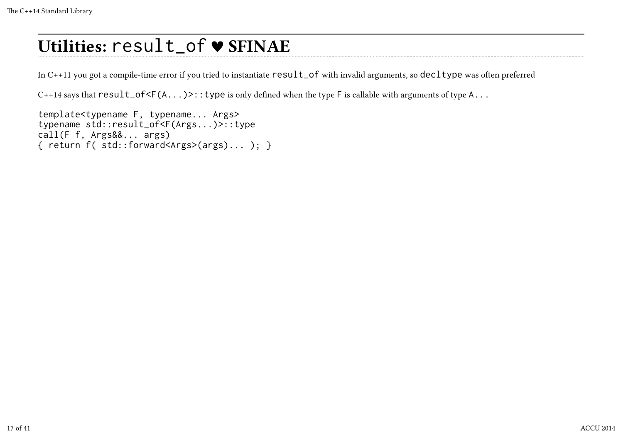# Utilities: result\_of ♥ SFINAE

In  $C++11$  you got a compile-time error if you tried to instantiate  $result_of$  with invalid arguments, so decltype was often preferred

 $C++14$  says that  $result_of\leq F(A...)>::type$  is only defined when the type F is callable with arguments of type A...

template<typename F, typename... Args> typename std::result\_of<F(Args...)>::type call(F f, Args&&... args) { return f( std::forward<Args>(args)... ); }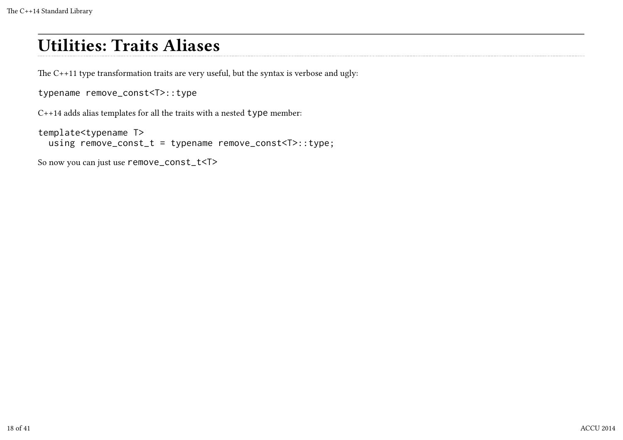### Utilities: Traits Aliases

The  $C+11$  type transformation traits are very useful, but the syntax is verbose and ugly:

typename remove\_const<T>::type

C++14 adds alias templates for all the traits with a nested type member:

template<typename T> using remove\_const\_t = typename remove\_const<T>::type;

So now you can just use remove\_const\_t<T>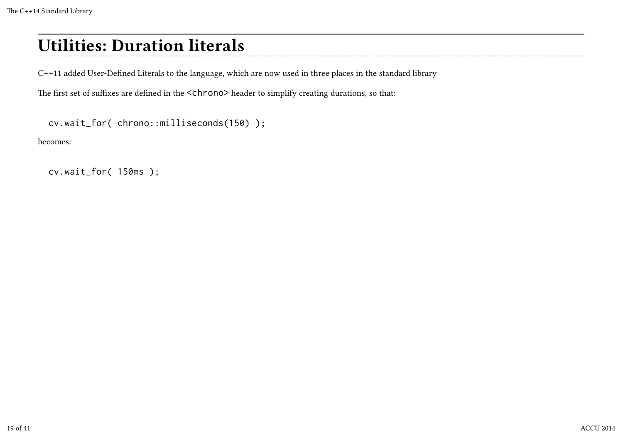## Utilities: Duration literals

C++11 added User-Defined Literals to the language, which are now used in three places in the standard library

The first set of suffixes are defined in the <chrono> header to simplify creating durations, so that:

```
 cv.wait_for( chrono::milliseconds(150) );
```
becomes:

cv.wait\_for( 150ms );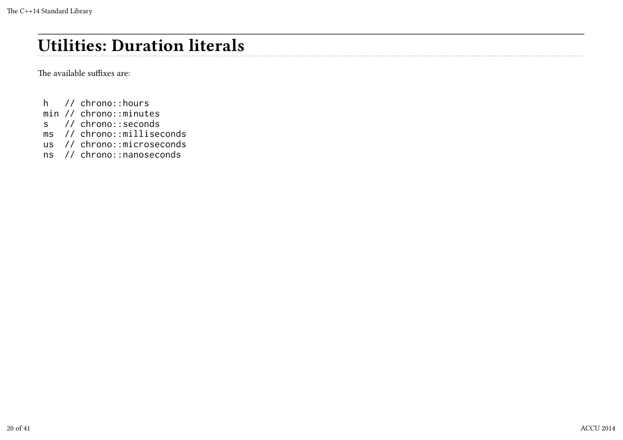## Utilities: Duration literals

The available suffixes are:

- h // chrono::hours
- min // chrono::minutes
- s // chrono::seconds
- ms // chrono::milliseconds
- us // chrono::microseconds
- ns // chrono::nanoseconds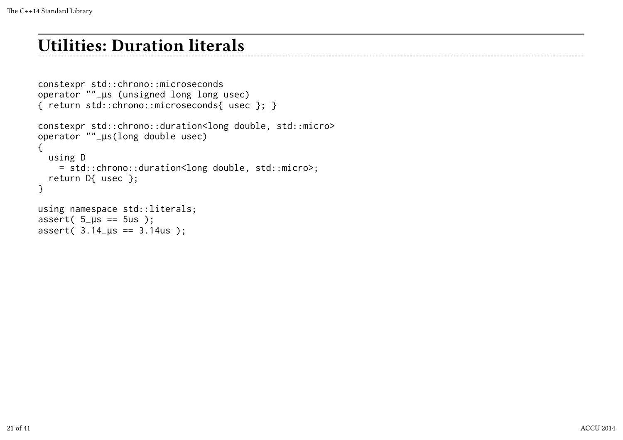### Utilities: Duration literals

```
constexpr std::chrono::microseconds
operator ""_μs (unsigned long long usec)
{ return std::chrono::microseconds{ usec }; }
constexpr std::chrono::duration<long double, std::micro>
operator ""_μs(long double usec)
{
  using D
   = std::chrono::duration<long double, std::micro>;
   return D{ usec };
}
using namespace std::literals;
assert(5_\mu s == 5us);
assert( 3.14_μs == 3.14us );
```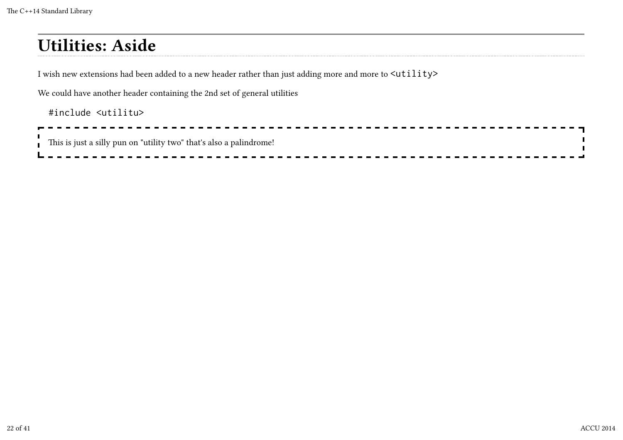## Utilities: Aside

I wish new extensions had been added to a new header rather than just adding more and more to  $\text{utility>}$ 

We could have another header containing the 2nd set of general utilities

#### #include <utilitu>

| $\overline{\phantom{a}}$ This is just a silly pun on "utility two" that's also a palindrome! |
|----------------------------------------------------------------------------------------------|
|                                                                                              |
|                                                                                              |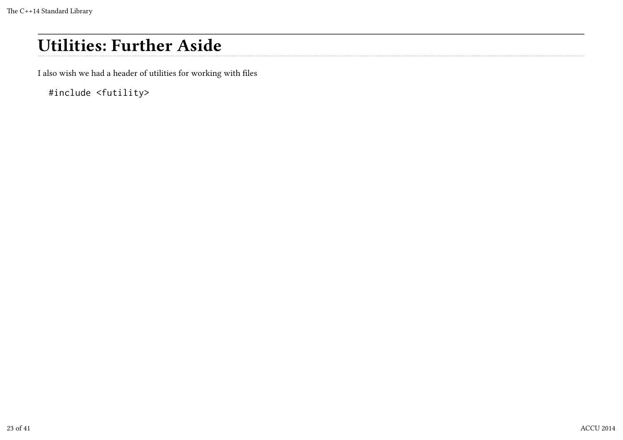## Utilities: Further Aside

I also wish we had a header of utilities for working with files

#include <futility>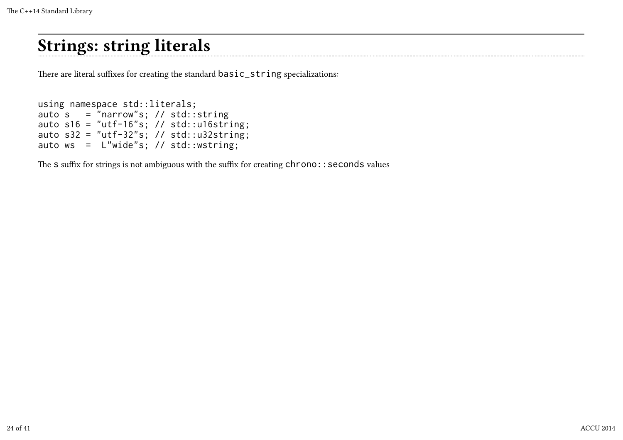### Strings: string literals

There are literal suffixes for creating the standard basic\_string specializations:

```
using namespace std::literals;
auto s = "narrow"s; // std::stringauto s16 = "utf-16"s; // std::u16string;
auto s32 = "utf-32"s; // std::u32string;
auto ws = L"wide"s; // std::wstring;
```
The S suffix for strings is not ambiguous with the suffix for creating  $chromo:$ : seconds values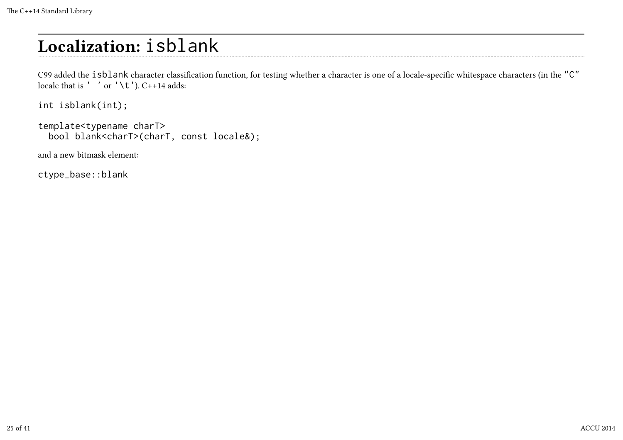# Localization: isblank

C99 added the isblank character classification function, for testing whether a character is one of a locale-specific whitespace characters (in the "C" locale that is  $'$  ' or  $'\setminus t'$ ). C++14 adds:

```
int isblank(int);
```

```
template<typename charT>
   bool blank<charT>(charT, const locale&);
```
and a new bitmask element:

ctype\_base::blank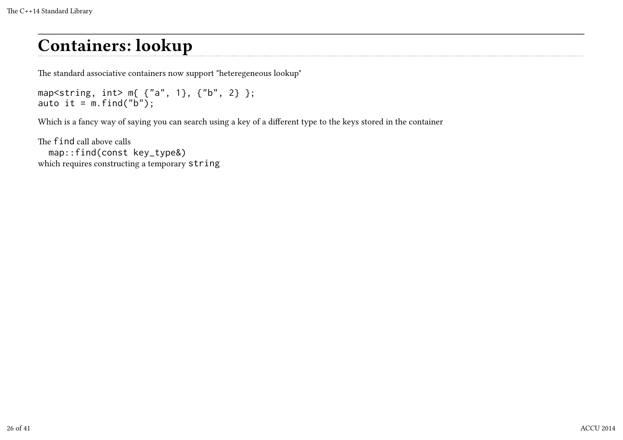### Containers: lookup

The standard associative containers now support "heteregeneous lookup"

```
map<string, int> m{ {"a", 1}, {"b", 2} };
auto it = m.find("b");
```
Which is a fancy way of saying you can search using a key of a different type to the keys stored in the container

The find call above calls map::find(const key\_type&) which requires constructing a temporary string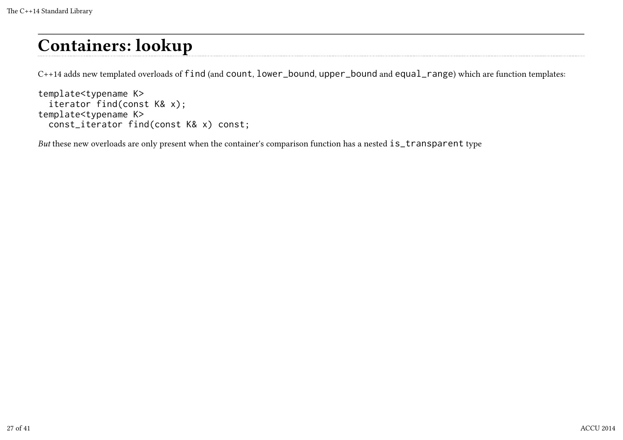### Containers: lookup

C++14 adds new templated overloads of find (and count, lower\_bound, upper\_bound and equal\_range) which are function templates:

```
template<typename K>
   iterator find(const K& x);
template<typename K>
   const_iterator find(const K& x) const;
```
But these new overloads are only present when the container's comparison function has a nested is\_transparent type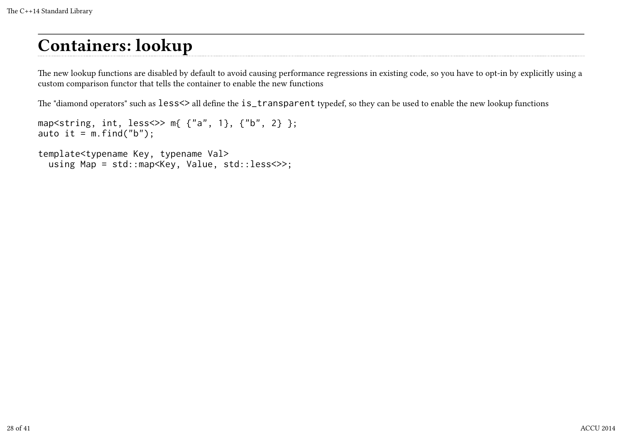## Containers: lookup

The new lookup functions are disabled by default to avoid causing performance regressions in existing code, so you have to opt-in by explicitly using a custom comparison functor that tells the container to enable the new functions

The "diamond operators" such as less<> all define the is\_transparent typedef, so they can be used to enable the new lookup functions

```
map<string, int, less<>> m{ {"a", 1}, {"b", 2} };
auto it = m.find("b");
```
template<typename Key, typename Val> using Map = std::map<Key, Value, std::less<>>;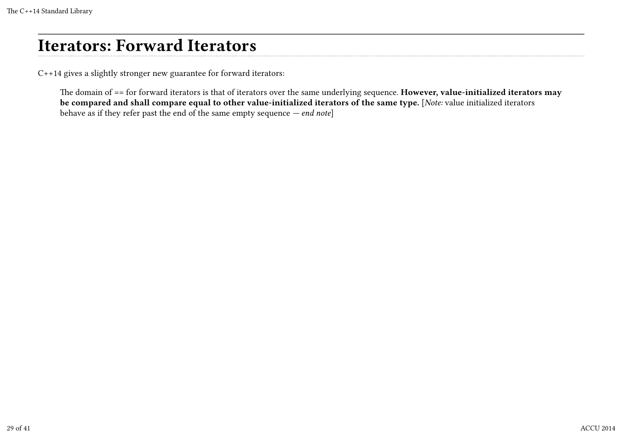### Iterators: Forward Iterators

C++14 gives a slightly stronger new guarantee for forward iterators:

The domain of == for forward iterators is that of iterators over the same underlying sequence. However, value-initialized iterators may be compared and shall compare equal to other value-initialized iterators of the same type. [Note: value initialized iterators behave as if they refer past the end of the same empty sequence  $-$  *end note*]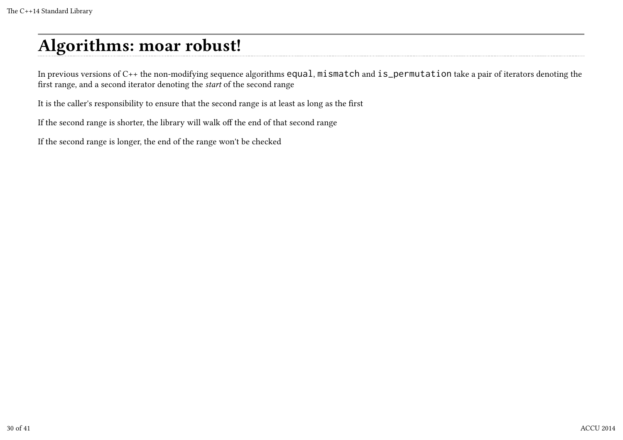## Algorithms: moar robust!

In previous versions of C++ the non-modifying sequence algorithms equal, mismatch and is\_permutation take a pair of iterators denoting the first range, and a second iterator denoting the start of the second range

It is the caller's responsibility to ensure that the second range is at least as long as the first

If the second range is shorter, the library will walk off the end of that second range

If the second range is longer, the end of the range won't be checked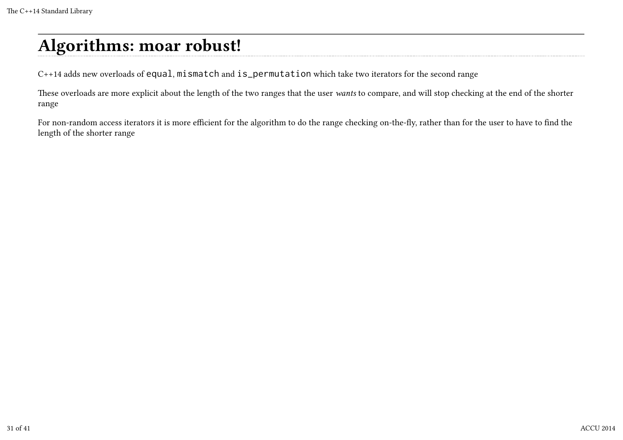## Algorithms: moar robust!

C++14 adds new overloads of equal, mismatch and is\_permutation which take two iterators for the second range

These overloads are more explicit about the length of the two ranges that the user wants to compare, and will stop checking at the end of the shorter range

For non-random access iterators it is more efficient for the algorithm to do the range checking on-the-fly, rather than for the user to have to find the length of the shorter range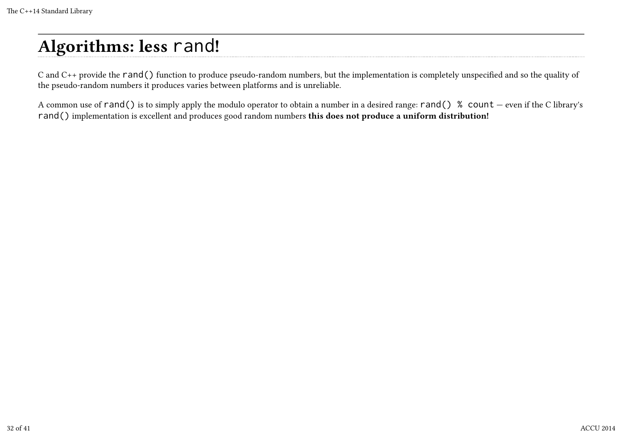# Algorithms: less rand!

C and C++ provide the rand() function to produce pseudo-random numbers, but the implementation is completely unspecified and so the quality of the pseudo-random numbers it produces varies between platforms and is unreliable.

A common use of rand() is to simply apply the modulo operator to obtain a number in a desired range: rand() % count — even if the C library's rand() implementation is excellent and produces good random numbers this does not produce a uniform distribution!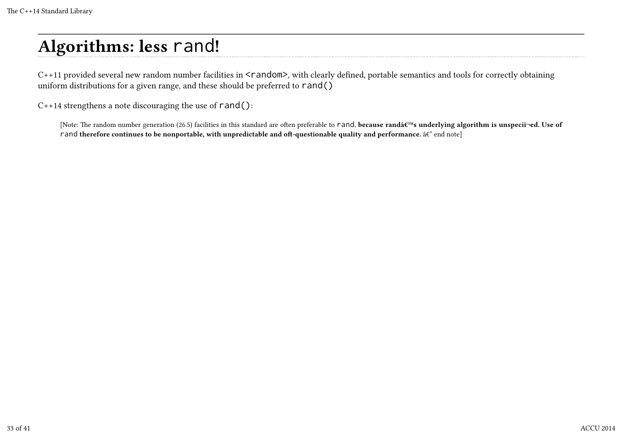# Algorithms: less rand!

C++11 provided several new random number facilities in <random>, with clearly defined, portable semantics and tools for correctly obtaining uniform distributions for a given range, and these should be preferred to  $rand()$ 

C++14 strengthens a note discouraging the use of rand():

[Note: The random number generation (26.5) facilities in this standard are often preferable to rand, because rand's underlying algorithm is unspeciï¬ed. Use of rand therefore continues to be nonportable, with unpredictable and oft-questionable quality and performance.  $\hat{a}\hat{\epsilon}^n$  end note]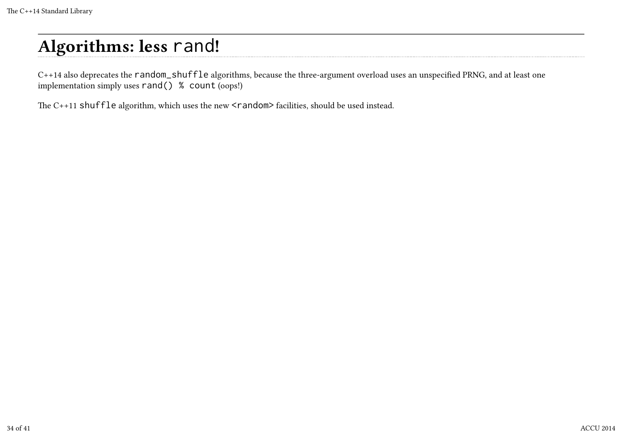# Algorithms: less rand!

C++14 also deprecates the random\_shuffle algorithms, because the three-argument overload uses an unspecified PRNG, and at least one implementation simply uses rand() % count (oops!)

The C++11 shuffle algorithm, which uses the new <random> facilities, should be used instead.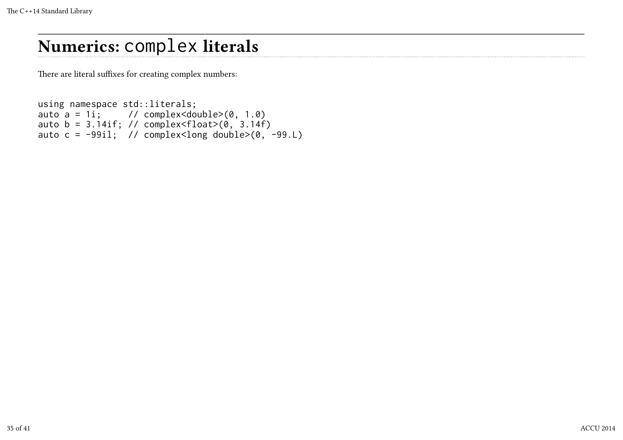## Numerics: complex literals

There are literal suffixes for creating complex numbers:

```
using namespace std::literals;
auto a = 1i; // complex<double>(0, 1.0)auto b = 3.14if; // complex<float>(0, 3.14f)
auto c = -99i1; // complex<long double>(0, -99iL)
```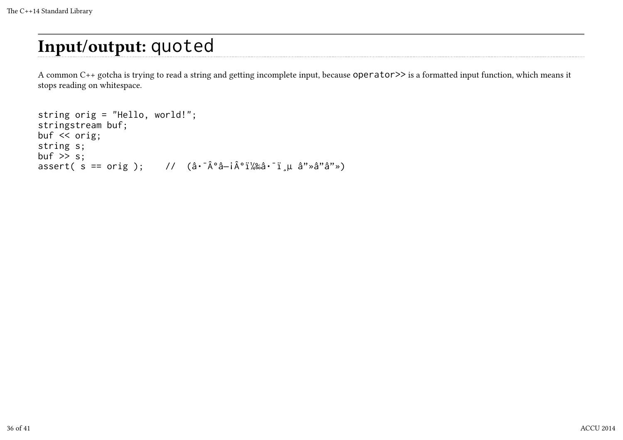## Input/output: quoted

A common C++ gotcha is trying to read a string and getting incomplete input, because operator>> is a formatted input function, which means it stops reading on whitespace.

```
string orig = "Hello, world!";
stringstream buf;
buf << orig;
string s;
buf \gg s;
assert( s == orig ); // (\hat{a} \cdot \hat{A} \cdot \hat{a} - i \hat{A} \cdot \hat{i} \cdot \hat{k} \cdot \hat{i}) a"ȉ"â"»)
```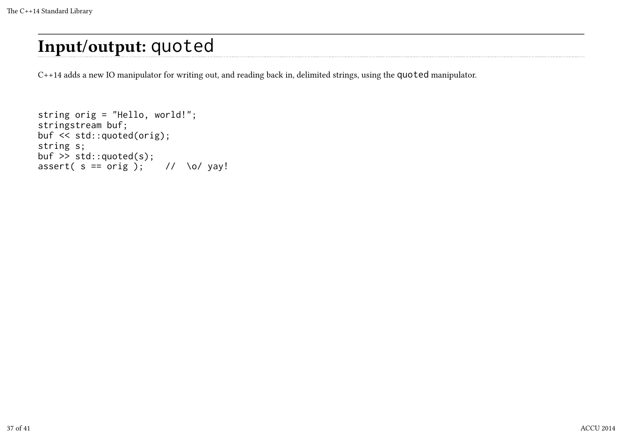## Input/output: quoted

C++14 adds a new IO manipulator for writing out, and reading back in, delimited strings, using the quoted manipulator.

```
string orig = "Hello, world!";
stringstream buf;
buf << std::quoted(orig);
string s;
buf \ge std::quoted(s);
assert( s == orig ); // \o/ yay!
```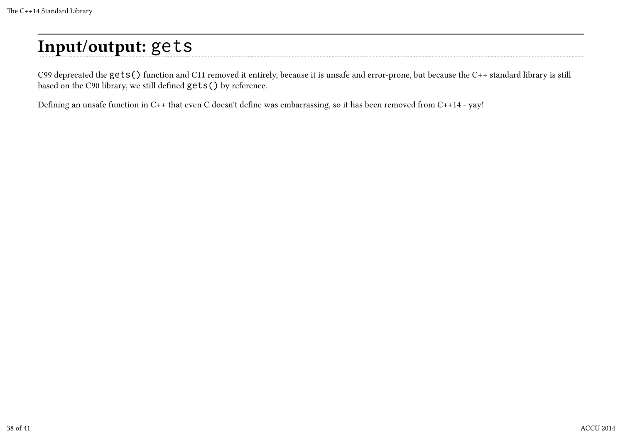# Input/output: gets

C99 deprecated the gets() function and C11 removed it entirely, because it is unsafe and error-prone, but because the C++ standard library is still based on the C90 library, we still defined gets() by reference.

Defining an unsafe function in C++ that even C doesn't define was embarrassing, so it has been removed from C++14 - yay!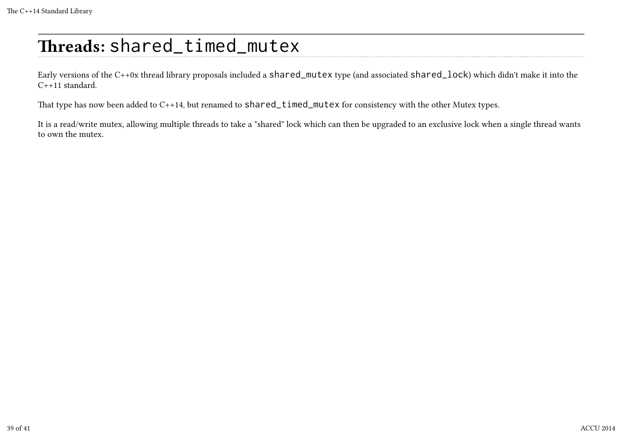# Threads: shared\_timed\_mutex

Early versions of the C++0x thread library proposals included a shared\_mutex type (and associated shared\_lock) which didn't make it into the C++11 standard.

That type has now been added to C++14, but renamed to shared\_timed\_mutex for consistency with the other Mutex types.

It is a read/write mutex, allowing multiple threads to take a "shared" lock which can then be upgraded to an exclusive lock when a single thread wants to own the mutex.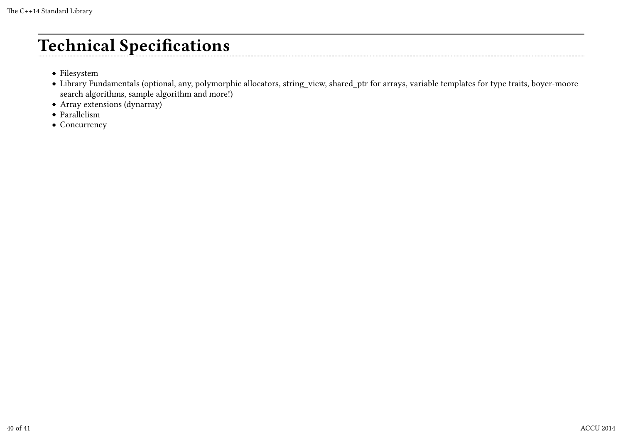## Technical Specifications

- Filesystem
- Library Fundamentals (optional, any, polymorphic allocators, string\_view, shared\_ptr for arrays, variable templates for type traits, boyer-moore search algorithms, sample algorithm and more!)
- Array extensions (dynarray)
- Parallelism
- Concurrency